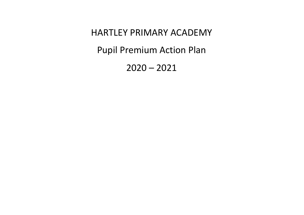HARTLEY PRIMARY ACADEMY Pupil Premium Action Plan

2020 – 2021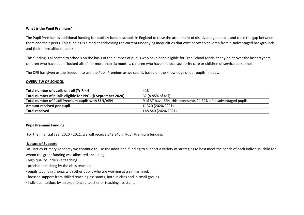#### **What is the Pupil Premium?**

The Pupil Premium is additional funding for publicly funded schools in England to raise the attainment of disadvantaged pupils and close the gap between them and their peers. This funding is aimed at addressing the current underlying inequalities that exist between children from disadvantaged backgrounds and their more affluent peers.

This funding is allocated to schools on the basis of the number of pupils who have been eligible for Free School Meals at any point over the last six years; children who have been "looked after" for more than six months, children who have left local authority care or children of service personnel.

The DFE has given us the freedom to use the Pupil Premium as we see fit, based on the knowledge of our pupils" needs.

### **OVERVIEW OF SCHOOL**

| Total number of pupils on roll (Yr $R - 6$ )               | 418                                                              |
|------------------------------------------------------------|------------------------------------------------------------------|
| Total number of pupils eligible for PPG (@ September 2020) | 37 (8.85% of roll)                                               |
| Total number of Pupil Premium pupils with SEN/AEN          | 9 of 37 have SEN, this represents 24.32% of disadvantaged pupils |
| Amount received per pupil                                  | £1320 (2020/2021)                                                |
| Total received                                             | £48,840 (2020/2021)                                              |

### **Pupil Premium Funding**

For the financial year 2020 - 2021, we will receive £48,840 in Pupil Premium funding.

### **Nature of Support**

At Hartley Primary Academy we continue to use the additional funding to support a variety of strategies to best meet the needs of each individual child for whom the grant funding was allocated, including:

- · high quality, inclusive teaching.
- · precision teaching by the class teacher.
- · pupils taught in groups with other pupils who are working at a similar level.
- · focused support from skilled teaching assistants, both in class and in small groups.
- · individual tuition, by an experienced teacher or teaching assistant.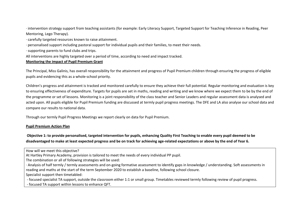· intervention strategy support from teaching assistants (for example: Early Literacy Support, Targeted Support for Teaching Inference in Reading, Peer Mentoring, Lego Therapy).

- · carefully targeted resources known to raise attainment.
- · personalised support including pastoral support for individual pupils and their families, to meet their needs.
- · supporting parents to fund clubs and trips.
- All interventions are highly targeted over a period of time, according to need and impact tracked.

### **Monitoring the impact of Pupil Premium Grant**

The Principal, Miss Galinis, has overall responsibility for the attainment and progress of Pupil Premium children through ensuring the progress of eligible pupils and evidencing this as a whole-school priority.

Children's progress and attainment is tracked and monitored carefully to ensure they achieve their full potential. Regular monitoring and evaluation is key to ensuring effectiveness of expenditure. Targets for pupils are set in maths, reading and writing and we know where we expect them to be by the end of the programme or set of lessons. Monitoring is a joint responsibility of the class teacher and Senior Leaders and regular assessment data is analysed and acted upon. All pupils eligible for Pupil Premium funding are discussed at termly pupil progress meetings. The DFE and LA also analyse our school data and compare our results to national data.

Through our termly Pupil Progress Meetings we report clearly on data for Pupil Premium.

### **Pupil Premium Action Plan**

Objective 1: to provide personalised, targeted intervention for pupils, enhancing Quality First Teaching to enable every pupil deemed to be disadvantaged to make at least expected progress and be on track for achieving age-related expectations or above by the end of Year 6.

· Analysis of half termly / termly assessments and on-going formative assessment to identify gaps in knowledge / understanding. Soft assessments in reading and maths at the start of the term September 2020 to establish a baseline, following school closure.

Specialist support then timetabled:

- focused specialist TA support, outside the classroom either 1:1 or small group. Timetables reviewed termly following review of pupil progress.

- focused TA support within lessons to enhance QFT.

How will we meet this objective?

At Hartley Primary Academy, provision is tailored to meet the needs of every individual PP pupil.

The combination or all of following strategies will be used: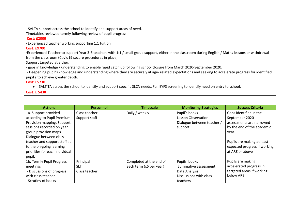- SALTA support across the school to identify and support areas of need.

Timetables reviewed termly following review of pupil progress.

### **Cost: £2000**

· Experienced teacher working supporting 1:1 tuition

# **Cost: £9700**

·Experienced Teacher to support Year 3-6 teachers with 1:1 / small group support, either in the classroom during English / Maths lessons or withdrawal from the classroom (Covid19 secure procedures in place)

Support targeted at either:

- gaps in knowledge / understanding to enable rapid catch up following school closure from March 2020-September 2020.

- Deepening pupil's knowledge and understanding where they are securely at age- related expectations and seeking to accelerate progress for identified pupil s to achieve greater depth.

# **Cost: £5730**

● SALT TA across the school to identify and support specific SLCN needs. Full EYFS screening to identify need on entry to school.

## **Cost: £ 5430**

| <b>Actions</b>                 | <b>Personnel</b> | <b>Timescale</b>        | <b>Monitoring Strategies</b> | <b>Success Criteria</b>      |
|--------------------------------|------------------|-------------------------|------------------------------|------------------------------|
| 1a. Support provided           | Class teacher    | Daily / weekly          | Pupil's books                | Gaps identified in the       |
| according to Pupil Premium     | Support staff    |                         | <b>Lesson Observation</b>    | September 2020               |
| Provision mapping. Support     |                  |                         | Dialogue between teacher /   | assessments are narrowed     |
| sessions recorded on year      |                  |                         | support                      | by the end of the academic   |
| group provision maps.          |                  |                         |                              | year.                        |
| Dialogue between class         |                  |                         |                              |                              |
| teacher and support staff as   |                  |                         |                              | Pupils are making at least   |
| to the on-going learning       |                  |                         |                              | expected progress if working |
| priorities for each individual |                  |                         |                              | at ARE or above              |
| pupil.                         |                  |                         |                              |                              |
| 1b. Termly Pupil Progress      | Principal        | Completed at the end of | Pupils' books                | Pupils are making            |
| meetings                       | <b>SLT</b>       | each term (x6 per year) | Summative assessment         | accelerated progress in      |
| - Discussions of progress      | Class teacher    |                         | Data Analysis                | targeted areas if working    |
| with class teacher             |                  |                         | Discussions with class       | below ARE                    |
| - Scrutiny of books            |                  |                         | teachers                     |                              |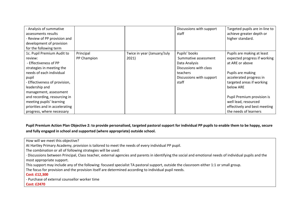| - Analysis of summative<br>assessments results<br>- Review of PP provision and |             |                             | Discussions with support<br>staff | Targeted pupils are in-line to<br>achieve greater depth or<br>higher standard. |
|--------------------------------------------------------------------------------|-------------|-----------------------------|-----------------------------------|--------------------------------------------------------------------------------|
| development of provision                                                       |             |                             |                                   |                                                                                |
| for the following term                                                         |             |                             |                                   |                                                                                |
| 1c. Pupil Premium Audit to                                                     | Principal   | Twice in year (January/July | Pupils' books                     | Pupils are making at least                                                     |
| review:                                                                        | PP Champion | 2021)                       | Summative assessment              | expected progress if working                                                   |
| - Effectiveness of PP                                                          |             |                             | Data Analysis                     | at ARE or above                                                                |
| strategies in meeting the                                                      |             |                             | Discussions with class            |                                                                                |
| needs of each individual                                                       |             |                             | teachers                          | Pupils are making                                                              |
| pupil                                                                          |             |                             | Discussions with support          | accelerated progress in                                                        |
| - Effectiveness of provision,                                                  |             |                             | staff                             | targeted areas if working                                                      |
| leadership and                                                                 |             |                             |                                   | below ARE                                                                      |
| management, assessment                                                         |             |                             |                                   |                                                                                |
| and recording, resourcing in                                                   |             |                             |                                   | Pupil Premium provision is                                                     |
| meeting pupils' learning                                                       |             |                             |                                   | well lead, resourced                                                           |
| priorities and in accelerating                                                 |             |                             |                                   | effectively and best meeting                                                   |
| progress, where necessary                                                      |             |                             |                                   | the needs of learners                                                          |

Pupil Premium Action Plan Objective 2: to provide personalised, targeted pastoral support for individual PP pupils to enable them to be happy, secure **and fully engaged in school and supported (where appropriate) outside school.**

How will we meet this objective?

At Hartley Primary Academy, provision is tailored to meet the needs of every individual PP pupil.

The combination or all of following strategies will be used:

· Discussions between Principal, Class teacher, external agencies and parents in identifying the social and emotional needs of individual pupils and the most appropriate support.

This support may include any of the following: focused specialist TA pastoral support, outside the classroom either 1:1 or small group.

The focus for provision and the provision itself are determined according to individual pupil needs.

**Cost: £12,300**

- Purchase of external counsellor worker time

**Cost: £2470**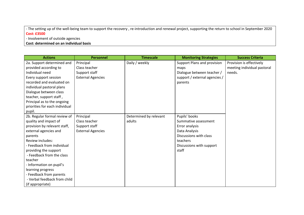- The setting up of the well-being team to support the recovery , re-introduction and renewal project, supporting the return to school in September 2020 **Cost: £3500**

- Involvement of outside agencies

**Cost: determined on an individual basis**

| <b>Actions</b>                 | <b>Personnel</b>         | <b>Timescale</b>       | <b>Monitoring Strategies</b>  | <b>Success Criteria</b>     |
|--------------------------------|--------------------------|------------------------|-------------------------------|-----------------------------|
| 2a. Support determined and     | Principal                | Daily / weekly         | Support Plans and provision   | Provision is effectively    |
| provided according to          | Class teacher            |                        | maps                          | meeting individual pastoral |
| Individual need                | Support staff            |                        | Dialogue between teacher /    | needs.                      |
| Every support session          | <b>External Agencies</b> |                        | support / external agencies / |                             |
| recorded and evaluated on      |                          |                        | parents                       |                             |
| individual pastoral plans      |                          |                        |                               |                             |
| Dialogue between class         |                          |                        |                               |                             |
| teacher, support staff,        |                          |                        |                               |                             |
| Principal as to the ongoing    |                          |                        |                               |                             |
| priorities for each individual |                          |                        |                               |                             |
| pupil.                         |                          |                        |                               |                             |
| 2b. Regular formal review of   | Principal                | Determined by relevant | Pupils' books                 |                             |
| quality and impact of          | Class teacher            | adults                 | Summative assessment          |                             |
| provision by relevant staff,   | Support staff            |                        | Error analysis                |                             |
| external agencies and          | <b>External Agencies</b> |                        | Data Analysis                 |                             |
| parents                        |                          |                        | Discussions with class        |                             |
| Review includes:               |                          |                        | teachers                      |                             |
| - Feedback from individual     |                          |                        | Discussions with support      |                             |
| providing the support          |                          |                        | staff                         |                             |
| - Feedback from the class      |                          |                        |                               |                             |
| teacher                        |                          |                        |                               |                             |
| - Information on pupil's       |                          |                        |                               |                             |
| learning progress              |                          |                        |                               |                             |
| - Feedback from parents        |                          |                        |                               |                             |
| - Verbal feedback from child   |                          |                        |                               |                             |
| (if appropriate)               |                          |                        |                               |                             |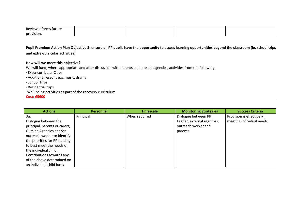| Revie<br>'ture |  |  |
|----------------|--|--|
| provision.     |  |  |

Pupil Premium Action Plan Objective 3: ensure all PP pupils have the opportunity to access learning opportunities beyond the classroom (ie. school trips **and extra-curricular activities)**

| How will we meet this objective?                                                                                       |
|------------------------------------------------------------------------------------------------------------------------|
| We will fund, where appropriate and after discussion with parents and outside agencies, activities from the following: |
| · Extra-curricular Clubs                                                                                               |
| · Additional lessons e.g. music, drama                                                                                 |
| · School Trips                                                                                                         |
| · Residential trips                                                                                                    |
| -Well-being activities as part of the recovery curriculum                                                              |
| <b>Cost: £5600</b>                                                                                                     |

| <b>Actions</b>                | <b>Personnel</b> | <b>Timescale</b> | <b>Monitoring Strategies</b> | <b>Success Criteria</b>   |
|-------------------------------|------------------|------------------|------------------------------|---------------------------|
| За.                           | Principal        | When required    | Dialogue between PP          | Provision is effectively  |
| Dialogue between the          |                  |                  | Leader, external agencies,   | meeting individual needs. |
| principal, parents or carers, |                  |                  | outreach worker and          |                           |
| Outside Agencies and/or       |                  |                  | parents                      |                           |
| outreach worker to identify   |                  |                  |                              |                           |
| the priorities for PP funding |                  |                  |                              |                           |
| to best meet the needs of     |                  |                  |                              |                           |
| the individual child.         |                  |                  |                              |                           |
| Contributions towards any     |                  |                  |                              |                           |
| of the above determined on    |                  |                  |                              |                           |
| an individual child basis     |                  |                  |                              |                           |